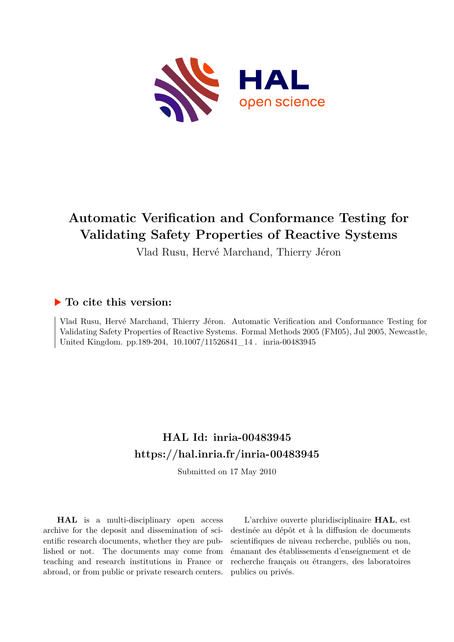

# **Automatic Verification and Conformance Testing for Validating Safety Properties of Reactive Systems**

Vlad Rusu, Hervé Marchand, Thierry Jéron

### **To cite this version:**

Vlad Rusu, Hervé Marchand, Thierry Jéron. Automatic Verification and Conformance Testing for Validating Safety Properties of Reactive Systems. Formal Methods 2005 (FM05), Jul 2005, Newcastle, United Kingdom. pp.189-204, 10.1007/11526841\_14. inria-00483945

## **HAL Id: inria-00483945 <https://hal.inria.fr/inria-00483945>**

Submitted on 17 May 2010

**HAL** is a multi-disciplinary open access archive for the deposit and dissemination of scientific research documents, whether they are published or not. The documents may come from teaching and research institutions in France or abroad, or from public or private research centers.

L'archive ouverte pluridisciplinaire **HAL**, est destinée au dépôt et à la diffusion de documents scientifiques de niveau recherche, publiés ou non, émanant des établissements d'enseignement et de recherche français ou étrangers, des laboratoires publics ou privés.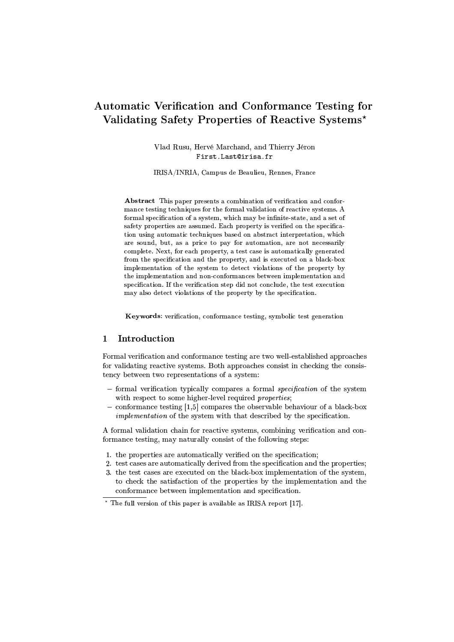### Automatic Verification and Conformance Testing for Validating Safety Properties of Reactive Systems\*

Vlad Rusu, Hervé Marchand, and Thierry Jéron First.Last@irisa.fr

IRISA/INRIA, Campus de Beaulieu, Rennes, France

Abstract This paper presents a combination of verification and conformance testing techniques for the formal validation of reactive systems. A formal specification of a system, which may be infinite-state, and a set of safety properties are assumed. Each property is verified on the specification using automatic techniques based on abstract interpretation, which are sound, but, as a price to pay for automation, are not necessarily complete. Next, for each property, a test case is automatically generated from the specification and the property, and is executed on a black-box implementation of the system to detect violations of the property by the implementation and non-conformances between implementation and specification. If the verification step did not conclude, the test execution may also detect violations of the property by the specification.

Keywords: verification, conformance testing, symbolic test generation

#### Introduction  $\mathbf{1}$

Formal verification and conformance testing are two well-established approaches for validating reactive systems. Both approaches consist in checking the consistency between two representations of a system:

- $-$  formal verification typically compares a formal *specification* of the system with respect to some higher-level required *properties*:
- conformance testing  $[1,5]$  compares the observable behaviour of a black-box *implementation* of the system with that described by the specification.

A formal validation chain for reactive systems, combining verification and conformance testing, may naturally consist of the following steps:

- 1. the properties are automatically verified on the specification;
- 2. test cases are automatically derived from the specification and the properties;
- 3. the test cases are executed on the black-box implementation of the system, to check the satisfaction of the properties by the implementation and the conformance between implementation and specification.

 $\star$  The full version of this paper is available as IRISA report [17].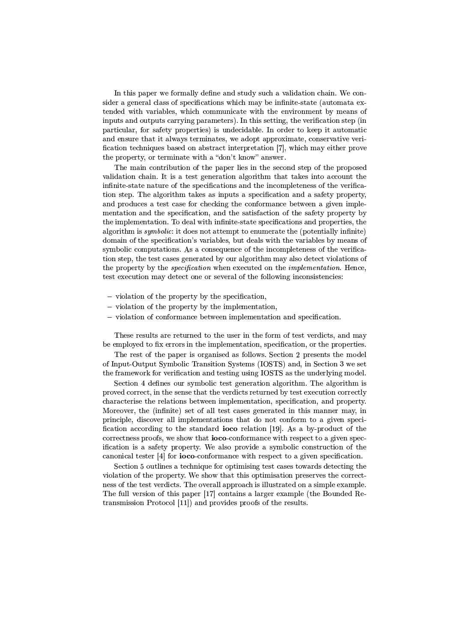In this paper we formally define and study such a validation chain. We consider a general class of specifications which may be infinite-state (automata extended with variables, which communicate with the environment by means of inputs and outputs carrying parameters). In this setting, the verification step (in particular, for safety properties) is undecidable. In order to keep it automatic and ensure that it always terminates, we adopt approximate, conservative verification techniques based on abstract interpretation [7], which may either prove the property, or terminate with a "don't know" answer.

The main contribution of the paper lies in the second step of the proposed validation chain. It is a test generation algorithm that takes into account the infinite-state nature of the specifications and the incompleteness of the verification step. The algorithm takes as inputs a specification and a safety property, and produces a test case for checking the conformance between a given implementation and the specification, and the satisfaction of the safety property by the implementation. To deal with infinite-state specifications and properties, the algorithm is *symbolic*; it does not attempt to enumerate the (potentially infinite) domain of the specification's variables, but deals with the variables by means of symbolic computations. As a consequence of the incompleteness of the verification step, the test cases generated by our algorithm may also detect violations of the property by the *specification* when executed on the *implementation*. Hence, test execution may detect one or several of the following inconsistencies:

- $-$  violation of the property by the specification,
- $-$  violation of the property by the implementation,
- $-$  violation of conformance between implementation and specification.

These results are returned to the user in the form of test verdicts, and may be employed to fix errors in the implementation, specification, or the properties.

The rest of the paper is organised as follows. Section 2 presents the model of Input-Output Symbolic Transition Systems (IOSTS) and, in Section 3 we set the framework for verification and testing using IOSTS as the underlying model.

Section 4 defines our symbolic test generation algorithm. The algorithm is proved correct, in the sense that the verdicts returned by test execution correctly characterise the relations between implementation, specification, and property. Moreover, the (infinite) set of all test cases generated in this manner may, in principle, discover all implementations that do not conform to a given specification according to the standard ioco relation [19]. As a by-product of the correctness proofs, we show that **ioco**-conformance with respect to a given specification is a safety property. We also provide a symbolic construction of the canonical tester  $[4]$  for **ioco-conformance** with respect to a given specification.

Section 5 outlines a technique for optimising test cases towards detecting the violation of the property. We show that this optimisation preserves the correctness of the test verdicts. The overall approach is illustrated on a simple example. The full version of this paper [17] contains a larger example (the Bounded Retransmission Protocol [11]) and provides proofs of the results.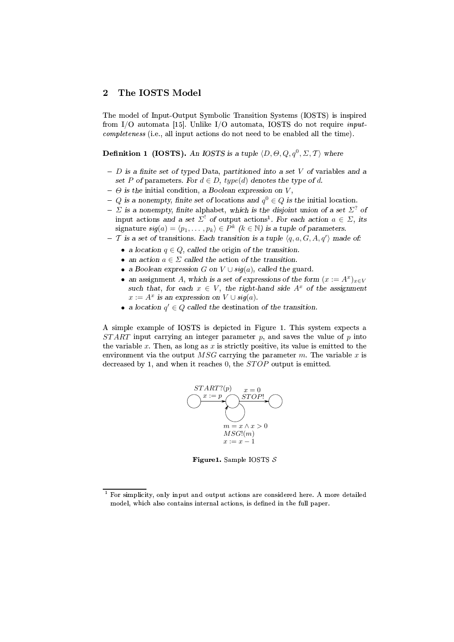### The IOSTS Model  $\overline{2}$

The model of Input-Output Symbolic Transition Systems (IOSTS) is inspired from I/O automata [15]. Unlike I/O automata, IOSTS do not require *inputcompleteness* (i.e., all input actions do not need to be enabled all the time).

**Definition 1 (IOSTS).** An IOSTS is a tuple  $(D, \Theta, Q, q^0, \Sigma, T)$  where

- $D$  is a finite set of typed Data, partitioned into a set V of variables and a set P of parameters. For  $d \in D$ , type(d) denotes the type of d.
- $\Theta$  is the initial condition. a Boolean expression on V.
- Q is a nonempty, finite set of locations and  $q^0 \in Q$  is the initial location.
- $\Sigma$  is a nonempty, finite alphabet, which is the disjoint union of a set  $\Sigma^?$  of input actions and a set  $\Sigma^!$  of output actions<sup>1</sup>. For each action  $a \in \Sigma$ , its signature  $sig(a) = \langle p_1, \ldots, p_k \rangle \in P^k$   $(k \in \mathbb{N})$  is a tuple of parameters.
- T is a set of transitions. Each transition is a tuple  $\langle q, a, G, A, q' \rangle$  made of:
	- a location  $q \in Q$ , called the origin of the transition.
	- an action  $a \in \Sigma$  called the action of the transition.
	- a Boolean expression G on  $V \cup \mathfrak{sig}(a)$ , called the guard.
	- an assignment A, which is a set of expressions of the form  $(x := A^x)_{x \in V}$ such that, for each  $x \in V$ , the right-hand side  $A^x$  of the assignment  $x := A^x$  is an expression on  $V \cup sig(a)$ .
	- a location  $q' \in Q$  called the destination of the transition.

A simple example of IOSTS is depicted in Figure 1. This system expects a  $START$  input carrying an integer parameter p, and saves the value of p into the variable x. Then, as long as x is strictly positive, its value is emitted to the environment via the output MSG carrying the parameter m. The variable x is decreased by 1, and when it reaches 0, the  $STOP$  output is emitted.



Figure 1. Sample IOSTS  $S$ 

For simplicity, only input and output actions are considered here. A more detailed model, which also contains internal actions, is defined in the full paper.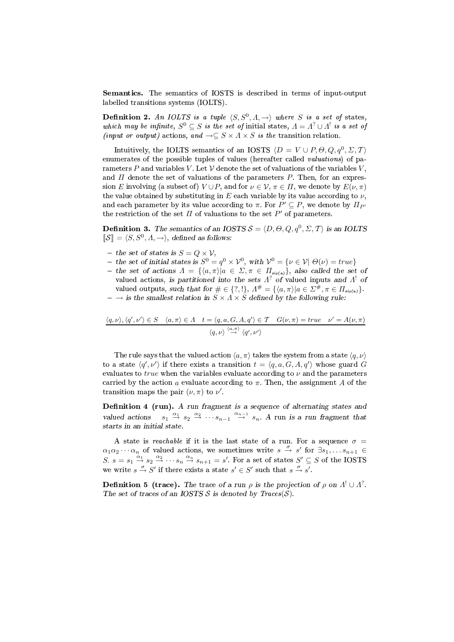**Semantics.** The semantics of IOSTS is described in terms of input-output labelled transitions systems (IOLTS).

**Definition 2.** An IOLTS is a tuple  $\langle S, S^0, A \rangle$  where S is a set of states, which may be infinite,  $S^0 \subseteq S$  is the set of initial states,  $\Lambda = \Lambda^2 \cup \Lambda^1$  is a set of (input or output) actions, and  $\rightarrow \subseteq S \times A \times S$  is the transition relation.

Intuitively, the IOLTS semantics of an IOSTS  $\langle D = V \cup P, \Theta, Q, q^0, \Sigma, T \rangle$ enumerates of the possible tuples of values (hereafter called valuations) of parameters P and variables V. Let V denote the set of valuations of the variables V, and  $\Pi$  denote the set of valuations of the parameters  $P$ . Then, for an expression E involving (a subset of)  $V \cup P$ , and for  $\nu \in V$ ,  $\pi \in \Pi$ , we denote by  $E(\nu, \pi)$ the value obtained by substituting in  $E$  each variable by its value according to  $\nu$ , and each parameter by its value according to  $\pi$ . For  $P' \subseteq P$ , we denote by  $\Pi_{P'}$ the restriction of the set  $\Pi$  of valuations to the set  $P'$  of parameters.

**Definition 3.** The semantics of an IOSTS  $S = \langle D, \Theta, Q, q^0, \Sigma, T \rangle$  is an IOLTS  $\mathcal{S} \equiv \langle S, S^0, A, \rightarrow \rangle$ , defined as follows:

- 
- the set of states is  $S = Q \times V$ ,<br>- the set of initial states is  $S^0 = q^0 \times V^0$ , with  $V^0 = \{ \nu \in V | \Theta(\nu) = true \}$
- the set of actions  $\Lambda = \{ \langle a, \pi \rangle | a \in \Sigma, \pi \in \Pi_{\text{sig}(a)} \},\$  also called the set of valued actions, is partitioned into the sets  $\Lambda^?$  of valued inputs and  $\Lambda^!$  of valued outputs, such that for  $\#\in \{?, !\}, \Lambda^{\#} = \{\langle a, \pi \rangle | a \in \Sigma^{\#}, \pi \in \Pi_{\text{sq}(a)}\}.$
- $\rightarrow$  is the smallest relation in  $S \times A \times S$  defined by the following rule:

$$
\langle q, \nu \rangle, \langle q', \nu' \rangle \in S \quad \langle a, \pi \rangle \in \Lambda \quad t = \langle q, a, G, A, q' \rangle \in \mathcal{T} \quad G(\nu, \pi) = true \quad \nu' = A(\nu, \pi)
$$

$$
\langle q, \nu \rangle \stackrel{\langle a, \pi \rangle}{\rightarrow} \langle q', \nu' \rangle
$$

The rule says that the valued action  $\langle a, \pi \rangle$  takes the system from a state  $\langle q, \nu \rangle$ to a state  $\langle q', \nu' \rangle$  if there exists a transition  $t = \langle q, a, G, A, q' \rangle$  whose guard G evaluates to  $true$  when the variables evaluate according to  $\nu$  and the parameters carried by the action a evaluate according to  $\pi$ . Then, the assignment A of the transition maps the pair  $(\nu, \pi)$  to  $\nu'$ .

**Definition 4 (run).** A run fragment is a sequence of alternating states and valued actions  $s_1 \stackrel{\alpha_1}{\rightarrow} s_2 \stackrel{\alpha_2}{\rightarrow} \cdots s_{n-1} \stackrel{\alpha_{n-1}}{\rightarrow} s_n$ . A run is a run fragment that starts in an initial state.

A state is *reachable* if it is the last state of a run. For a sequence  $\sigma$  =  $\alpha_1\alpha_2\cdots\alpha_n$  of valued actions, we sometimes write  $s \stackrel{\sigma}{\rightarrow} s'$  for  $\exists s_1,\ldots s_{n+1} \in$  $S. s = s_1 \stackrel{\alpha_1}{\rightarrow} s_2 \stackrel{\alpha_2}{\rightarrow} \cdots s_n \stackrel{\alpha_n}{\rightarrow} s_{n+1} = s'$ . For a set of states  $S' \subseteq S$  of the IOSTS we write  $s \stackrel{\sigma}{\rightarrow} S'$  if there exists a state  $s' \in S'$  such that  $s \stackrel{\sigma}{\rightarrow} s'$ .

**Definition 5 (trace).** The trace of a run  $\rho$  is the projection of  $\rho$  on  $A^! \cup A^?$ . The set of traces of an IOSTS S is denoted by  $Traces(S)$ .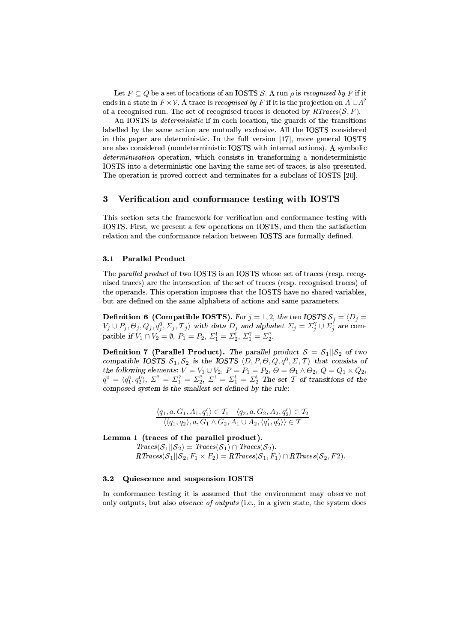Let  $F \subseteq Q$  be a set of locations of an IOSTS S. A run  $\rho$  is recognised by F if it ends in a state in  $F \times V$ . A trace is recognised by F if it is the projection on  $\Lambda^! \cup \Lambda^?$ of a recognised run. The set of recognised traces is denoted by  $RTrace(S, F)$ .

An IOSTS is *deterministic* if in each location, the guards of the transitions labelled by the same action are mutually exclusive. All the IOSTS considered in this paper are deterministic. In the full version [17], more general IOSTS are also considered (nondeterministic IOSTS with internal actions). A symbolic *determinisation* operation, which consists in transforming a nondeterministic IOSTS into a deterministic one having the same set of traces, is also presented. The operation is proved correct and terminates for a subclass of IOSTS [20].

#### 3 Verification and conformance testing with IOSTS

This section sets the framework for verification and conformance testing with IOSTS. First, we present a few operations on IOSTS, and then the satisfaction relation and the conformance relation between IOSTS are formally defined.

#### **Parallel Product**  $3.1$

The parallel product of two IOSTS is an IOSTS whose set of traces (resp. recognised traces) are the intersection of the set of traces (resp. recognised traces) of the operands. This operation imposes that the IOSTS have no shared variables, but are defined on the same alphabets of actions and same parameters.

**Definition 6 (Compatible IOSTS).** For  $j = 1, 2$ , the two IOSTS  $S_j = \langle D_j = V_j \cup P_j, \Theta_j, Q_j, q_j^0, \Sigma_j, T_j \rangle$  with data  $D_j$  and alphabet  $\Sigma_j = \Sigma_j^2 \cup \Sigma_j^1$  are compatible if  $V_1 \cap V_2 = \emptyset$ ,  $P_1 = P_2$ ,  $\Sigma_1^1 = \Sigma_2^1$ ,  $\Sigma_1^2 = \Sigma$ 

**Definition 7 (Parallel Product).** The parallel product  $S = S_1||S_2$  of two compatible IOSTS  $S_1, S_2$  is the IOSTS  $(D, P, \Theta, Q, q^0, \Sigma, T)$  that consists of the following elements:  $V = V_1 \cup V_2$ ,  $P = P_1 = P_2$ ,  $\Theta = \Theta_1 \wedge \Theta_2$ ,  $Q = Q_1 \times Q_2$ ,  $q^0 = \langle q_1^0, q_2^0 \rangle$ ,  $\Sigma^? = \Sigma_1^? = \Sigma_2^?$ ,  $\Sigma^! = \Sigma_1^! = \Sigma_2^!$  The set  $\mathcal T$  of transitions of the composed system is the smallest set

$$
\frac{\langle q_1, a, G_1, A_1, q_1' \rangle \in \mathcal{T}_1 \quad \langle q_2, a, G_2, A_2, q_2' \rangle \in \mathcal{T}_2}{\langle \langle q_1, q_2 \rangle, a, G_1 \wedge G_2, A_1 \cup A_2, \langle q_1', q_2' \rangle \rangle \in \mathcal{T}}
$$

Lemma 1 (traces of the parallel product).

 $Traces(S_1||S_2) = Traces(S_1) \cap Traces(S_2).$  $RTraces(S_1||S_2, F_1 \times F_2) = RTraces(S_1, F_1) \cap RTraces(S_2, F_2).$ 

#### Quiescence and suspension IOSTS  $3.2$

In conformance testing it is assumed that the environment may observe not only outputs, but also *absence of outputs* (i.e., in a given state, the system does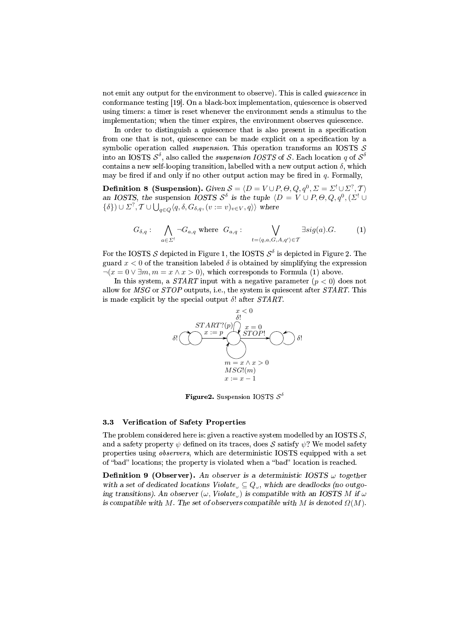not emit any output for the environment to observe). This is called *quiescence* in conformance testing [19]. On a black-box implementation, quiescence is observed using timers: a timer is reset whenever the environment sends a stimulus to the implementation; when the timer expires, the environment observes quiescence.

In order to distinguish a quiescence that is also present in a specification from one that is not, quiescence can be made explicit on a specification by a symbolic operation called *suspension*. This operation transforms an IOSTS  $S$ into an IOSTS  $S^{\delta}$ , also called the *suspension IOSTS* of S. Each location q of  $S^{\delta}$ contains a new self-looping transition, labelled with a new output action  $\delta$ , which may be fired if and only if no other output action may be fired in  $q$ . Formally,

**Definition 8 (Suspension).** Given  $S = \langle D = V \cup P, \Theta, Q, q^0, \Sigma = \Sigma^! \cup \Sigma^? , \mathcal{T} \rangle$ an IOSTS, the suspension IOSTS  $S^{\delta}$  is the tuple  $\langle D = V \cup P, \Theta, Q, q^{0}, (\Sigma^{\dagger} \cup$  $\{\delta\}) \cup \Sigma^?$ ,  $\mathcal{T} \cup \bigcup_{q \in Q} \langle q, \delta, G_{\delta,q}, (v := v)_{v \in V}, q \rangle \rangle$  where

$$
G_{\delta,q}: \bigwedge_{a \in \Sigma'} \neg G_{a,q} \text{ where } G_{a,q}: \bigvee_{t=\langle q,a,G,A,q' \rangle \in \mathcal{T}} \exists sig(a).G. \tag{1}
$$

For the IOSTS S depicted in Figure 1, the IOSTS  $S^{\delta}$  is depicted in Figure 2. The guard  $x < 0$  of the transition labeled  $\delta$  is obtained by simplifying the expression  $\neg(x = 0 \lor \exists m, m = x \land x > 0)$ , which corresponds to Formula (1) above.

In this system, a *START* input with a negative parameter  $(p < 0)$  does not allow for MSG or STOP outputs, i.e., the system is quiescent after START. This is made explicit by the special output  $\delta$ ! after START.



**Figure 2.** Suspension IOSTS  $S^{\delta}$ 

#### Verification of Safety Properties  $3.3$

The problem considered here is: given a reactive system modelled by an IOSTS  $S$ , and a safety property  $\psi$  defined on its traces, does S satisfy  $\psi$ ? We model safety properties using *observers*, which are deterministic IOSTS equipped with a set of "bad" locations; the property is violated when a "bad" location is reached.

**Definition 9 (Observer).** An observer is a deterministic IOSTS  $\omega$  together with a set of dedicated locations Violate<sub> $\omega \subseteq Q_{\omega}$ , which are deadlocks (no outgo-</sub> ing transitions). An observer  $(\omega, Violate_{\omega})$  is compatible with an IOSTS M if  $\omega$ is compatible with M. The set of observers compatible with M is denoted  $\Omega(M)$ .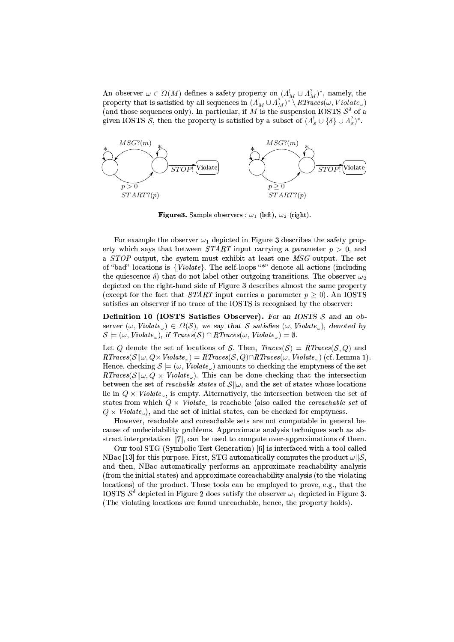An observer  $\omega \in \Omega(M)$  defines a safety property on  $(A_M^! \cup A_M^!)^*$ , namely, the property that is satisfied by all sequences in  $(A_M^! \cup A_M^?)^* \setminus RTraces(\omega, Violate_\omega)$ (and those sequences only). In particular, if M is the suspension IOSTS  $\mathcal{S}^{\delta}$  of a given IOSTS S, then the property is satisfied by a subset of  $(A^!_s \cup {\delta} \cup A^?_s)^*$ .



**Figure 3.** Sample observers :  $\omega_1$  (left),  $\omega_2$  (right).

For example the observer  $\omega_1$  depicted in Figure 3 describes the safety property which says that between START input carrying a parameter  $p > 0$ , and a STOP output, the system must exhibit at least one MSG output. The set of "bad" locations is {Violate}. The self-loops "\*" denote all actions (including the quiescence  $\delta$ ) that do not label other outgoing transitions. The observer  $\omega_2$ depicted on the right-hand side of Figure 3 describes almost the same property (except for the fact that *START* input carries a parameter  $p \ge 0$ ). An IOSTS satisfies an observer if no trace of the IOSTS is recognised by the observer:

Definition 10 (IOSTS Satisfies Observer). For an IOSTS S and an observer  $(\omega, \text{Violate}_{\omega}) \in \Omega(S)$ , we say that S satisfies  $(\omega, \text{Violate}_{\omega})$ , denoted by  $S \models (\omega, \textit{Violate}_{\omega}), \textit{if } \textit{Traces}(S) \cap \textit{RTraces}(\omega, \textit{Violate}_{\omega}) = \emptyset.$ 

Let Q denote the set of locations of S. Then,  $Traces(S) = RT races(S,Q)$  and  $RTraces(S||\omega, Q \times Violate_{\omega}) = RTraces(S, Q) \cap RTraces(\omega, Violate_{\omega})$  (cf. Lemma 1) Hence, checking  $\mathcal{S} \models (\omega, \textit{Violate}_{\omega})$  amounts to checking the emptyness of the set  $RTraces(\mathcal{S}||\omega, Q \times Violate_{\omega})$ . This can be done checking that the intersection between the set of *reachable states* of  $\mathcal{S}||\omega$ , and the set of states whose locations lie in  $Q \times$  Violate<sub>w</sub>, is empty. Alternatively, the intersection between the set of states from which  $Q \times$  Violate<sub>ω</sub> is reachable (also called the *coreachable set* of  $Q \times \textit{Violate}_{\omega}$ , and the set of initial states, can be checked for emptyness.

However, reachable and coreachable sets are not computable in general because of undecidability problems. Approximate analysis techniques such as abstract interpretation [7], can be used to compute over-approximations of them.

Our tool STG (Symbolic Test Generation) [6] is interfaced with a tool called NBac [13] for this purpose. First, STG automatically computes the product  $\omega||\mathcal{S}$ , and then. NBac automatically performs an approximate reachability analysis (from the initial states) and approximate coreachability analysis (to the violating locations) of the product. These tools can be employed to prove, e.g., that the IOSTS  $S^{\delta}$  depicted in Figure 2 does satisfy the observer  $\omega_1$  depicted in Figure 3. (The violating locations are found unreachable, hence, the property holds).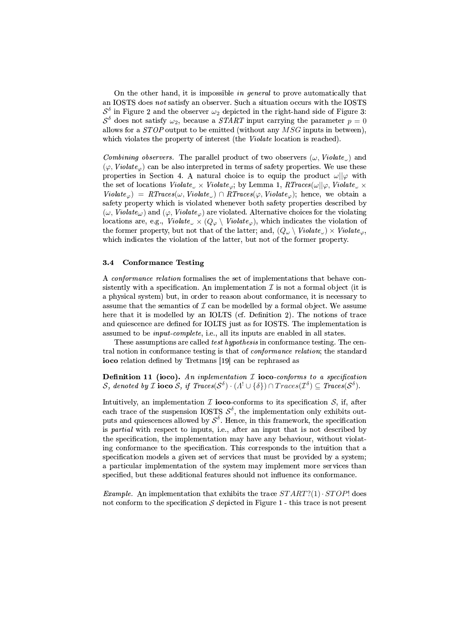On the other hand, it is impossible *in general* to prove automatically that an IOSTS does not satisfy an observer. Such a situation occurs with the IOSTS  $S^{\delta}$  in Figure 2 and the observer  $\omega_2$  depicted in the right-hand side of Figure 3:  $S^{\delta}$  does not satisfy  $\omega_2$ , because a *START* input carrying the parameter  $p=0$ allows for a  $STOP$  output to be emitted (without any  $MSG$  inputs in between), which violates the property of interest (the *Violate* location is reached).

*Combining observers.* The parallel product of two observers  $(\omega, Violate_{\omega})$  and  $(\varphi, Violate_{\varphi})$  can be also interpreted in terms of safety properties. We use these properties in Section 4. A natural choice is to equip the product  $\omega||\varphi$  with the set of locations  $Violate_{\omega} \times Violate_{\varphi}$ ; by Lemma 1,  $RTraces(\omega||\varphi, Violate_{\omega} \times$  $Violate_{\varphi}$  =  $RTraces(\omega, Violate_{\omega}) \cap RTraces(\varphi, Violate_{\varphi})$ ; hence, we obtain a safety property which is violated whenever both safety properties described by  $(\omega, Violate_{\omega})$  and  $(\varphi, Violate_{\varphi})$  are violated. Alternative choices for the violating locations are, e.g.,  $Violate_{\omega} \times (Q_{\varphi} \setminus Violate_{\varphi})$ , which indicates the violation of the former property, but not that of the latter; and,  $(Q_\omega \setminus \textit{Violate}_\omega) \times \textit{Violate}_\varphi$ , which indicates the violation of the latter, but not of the former property.

#### $3.4$ **Conformance Testing**

A conformance relation formalises the set of implementations that behave consistently with a specification. An implementation  $\mathcal I$  is not a formal object (it is a physical system) but, in order to reason about conformance, it is necessary to assume that the semantics of  $\mathcal I$  can be modelled by a formal object. We assume here that it is modelled by an IOLTS (cf. Definition 2). The notions of trace and quiescence are defined for IOLTS just as for IOSTS. The implementation is assumed to be *input-complete*, *i.e.*, all its inputs are enabled in all states.

These assumptions are called *test hypothesis* in conformance testing. The central notion in conformance testing is that of *conformance relation*; the standard ioco relation defined by Tretmans [19] can be rephrased as

**Definition 11** (ioco). An inplementation  $I$  ioco-conforms to a specification S, denoted by *T* ioco *S*, if  $Traces(S^{\delta}) \cdot (\Lambda^! \cup {\delta}) \cap Traces(\mathcal{I}^{\delta}) \subseteq Traces(S^{\delta}).$ 

Intuitively, an implementation  $\mathcal I$  ioco-conforms to its specification  $\mathcal S$ , if, after each trace of the suspension IOSTS  $S^{\delta}$ , the implementation only exhibits outputs and quiescences allowed by  $S^{\delta}$ . Hence, in this framework, the specification is *partial* with respect to inputs, i.e., after an input that is not described by the specification, the implementation may have any behaviour, without violating conformance to the specification. This corresponds to the intuition that a specification models a given set of services that must be provided by a system; a particular implementation of the system may implement more services than specified, but these additional features should not influence its conformance.

*Example.* An implementation that exhibits the trace  $START?(1) \cdot STOP!$  does not conform to the specification S depicted in Figure 1 - this trace is not present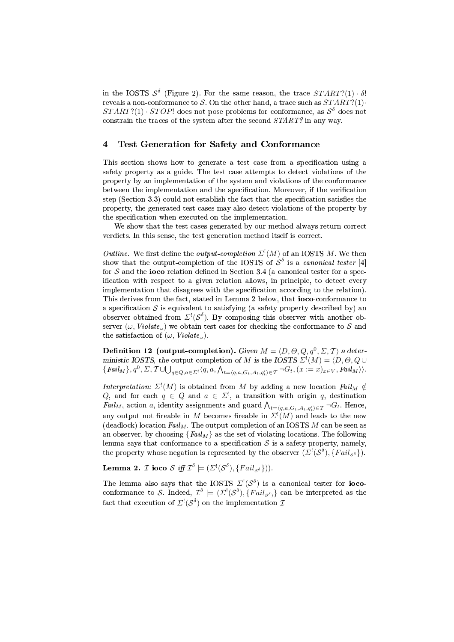in the IOSTS  $S^{\delta}$  (Figure 2). For the same reason, the trace  $START?(1) \cdot \delta!$ reveals a non-conformance to S. On the other hand, a trace such as  $START?(1)$ .  $START?(1) \cdot STOP!$  does not pose problems for conformance, as  $S^{\delta}$  does not constrain the traces of the system after the second START? in any way.

#### $\overline{\mathbf{4}}$ Test Generation for Safety and Conformance

This section shows how to generate a test case from a specification using a safety property as a guide. The test case attempts to detect violations of the property by an implementation of the system and violations of the conformance between the implementation and the specification. Moreover, if the verification step (Section 3.3) could not establish the fact that the specification satisfies the property, the generated test cases may also detect violations of the property by the specification when executed on the implementation.

We show that the test cases generated by our method always return correct verdicts. In this sense, the test generation method itself is correct.

*Outline.* We first define the *output-completion*  $\Sigma^1(M)$  of an IOSTS M. We then show that the output-completion of the IOSTS of  $S^{\delta}$  is a *canonical tester* [4] for  $S$  and the **ioco** relation defined in Section 3.4 (a canonical tester for a specification with respect to a given relation allows, in principle, to detect every implementation that disagrees with the specification according to the relation). This derives from the fact, stated in Lemma 2 below, that **ioco-conformance** to a specification  $S$  is equivalent to satisfying (a safety property described by) an observer obtained from  $\Sigma^!(\mathcal{S}^{\delta})$ . By composing this observer with another observer ( $\omega$ , Violate<sub>n</sub>) we obtain test cases for checking the conformance to S and the satisfaction of  $(\omega, Violate_{\omega}).$ 

**Definition 12** (output-completion). Given  $M = \langle D, \Theta, Q, q^0, \Sigma, T \rangle$  a deterministic IOSTS, the output completion of M is the IOSTS  $\Sigma^!(M) = \langle D, \Theta, Q \cup$  $\{ \text{Fall}_M \}, q^0, \Sigma, \mathcal{T} \cup \bigcup_{q \in Q, a \in \Sigma^1} \langle q, a, \bigwedge_{t = \langle q, a, G_t, A_t, q_t' \rangle \in \mathcal{T}} \neg G_t, (x := x)_{x \in V}, \text{Fall}_M \rangle \}.$ 

Interpretation:  $\Sigma^!(M)$  is obtained from M by adding a new location  $Fall_M \notin Q$ , and for each  $q \in Q$  and  $a \in \Sigma^!$ , a transition with origin q, destination  $\textit{Fall}_M$ , action a, identity assignments and guard  $\bigwedge_{t=\langle q,a,G_t,A_t,q_t'\rangle\in\mathcal{T}}\neg G_t$ . Hence, any output not fireable in M becomes fireable in  $\Sigma^!(M)$  and leads to the new (deadlock) location  $Fall_M$ . The output-completion of an IOSTS M can be seen as an observer, by choosing  ${[Fall_M]}$  as the set of violating locations. The following lemma says that conformance to a specification  $S$  is a safety property, namely, the property whose negation is represented by the observer  $(\Sigma^{\dagger}(\mathcal{S}^{\delta}), \{Fall_{s^{\delta}}\}).$ 

**Lemma 2.** *I* ioco *S* iff  $\mathcal{I}^{\delta} \models (\Sigma^{\mathcal{I}}(\mathcal{S}^{\delta}), \{Fall_{s^{\delta}}\})$ .

The lemma also says that the IOSTS  $\Sigma^{\prime}(\mathcal{S}^{\delta})$  is a canonical tester for **ioco**conformance to S. Indeed,  $\mathcal{I}^{\delta} \models (\Sigma^{\mathfrak{l}}(\mathcal{S}^{\delta}), \{Tail_{\mathcal{S}^{\delta}}\}$  can be interpreted as the fact that execution of  $\Sigma^!(\mathcal{S}^{\delta})$  on the implementation  $\mathcal I$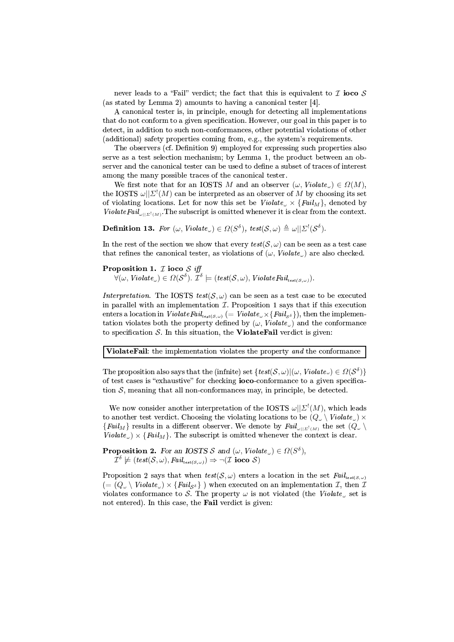never leads to a "Fail" verdict; the fact that this is equivalent to  $\mathcal I$  ioco  $\mathcal S$ (as stated by Lemma 2) amounts to having a canonical tester [4].

A canonical tester is, in principle, enough for detecting all implementations that do not conform to a given specification. However, our goal in this paper is to detect, in addition to such non-conformances, other potential violations of other (additional) safety properties coming from, e.g., the system's requirements.

The observers (cf. Definition 9) employed for expressing such properties also serve as a test selection mechanism; by Lemma 1, the product between an observer and the canonical tester can be used to define a subset of traces of interest among the many possible traces of the canonical tester.

We first note that for an IOSTS M and an observer  $(\omega, \textit{Violate}_{\omega}) \in \Omega(M)$ , the IOSTS  $\omega||\Sigma^{\dagger}(M)$  can be interpreted as an observer of M by choosing its set of violating locations. Let for now this set be  $Violate_{\omega} \times \{Fall_M\}$ , denoted by ViolateFail<sub> $\omega||\Sigma^{\dagger}(M)$ </sub>. The subscript is omitted whenever it is clear from the context.

**Definition 13.** For  $(\omega$ , Violate<sub>(a)</sub>  $\in \Omega(S^{\delta})$ , test $(S, \omega) \triangleq \omega || \Sigma^{1}(S^{\delta})$ .

In the rest of the section we show that every  $test(S, \omega)$  can be seen as a test case that refines the canonical tester, as violations of  $(\omega, \textit{Violate}_{\omega})$  are also checked.

**Proposition 1.** *I* ioco *S* iff<br>  $\forall (\omega, \text{Violate}_\omega) \in \Omega(\mathcal{S}^\delta)$ .  $\mathcal{I}^\delta \models (test(\mathcal{S}, \omega), \text{ViolateFall}_{\text{test}(\mathcal{S}, \omega)})$ .

Interpretation. The IOSTS test(S,  $\omega$ ) can be seen as a test case to be executed in parallel with an implementation  $I$ . Proposition 1 says that if this execution enters a location in Violate Fail<sub>test</sub>( $s,\omega$ ) (= Violate<sub> $\omega$ </sub> × { Fail<sub>s</sub> $\delta$ }), then the implementation violates both the property defined by  $(\omega, Violate_{\omega})$  and the conformance to specification  $S$ . In this situation, the Violate Fail verdict is given:

ViolateFail: the implementation violates the property and the conformance

The proposition also says that the (infinite) set  $\{test(S, \omega)|(\omega, \text{Violate}) \in \Omega(\mathcal{S}^{\delta})\}\$ of test cases is "exhaustive" for checking **ioco**-conformance to a given specification  $S$ , meaning that all non-conformances may, in principle, be detected.

We now consider another interpretation of the IOSTS  $\omega||\Sigma^!(M)$ , which leads to another test verdict. Choosing the violating locations to be  $(Q_\omega \setminus \textit{Violate}_\omega) \times$  ${[Fall_M]}$  results in a different observer. We denote by  ${Fall_{\omega||\Sigma^1(M)}}$  the set  $(Q_\omega \setminus$  $\textit{Violate}_{\omega}$ ) × { $\textit{Fall}_M$ }. The subscript is omitted whenever the context is clear.

**Proposition 2.** For an IOSTS S and  $(\omega, Violate_{\omega}) \in \Omega(S^{\delta}),$ <br> $\mathcal{I}^{\delta} \not\models (test(S, \omega), Fall_{test(S, \omega)}) \Rightarrow \neg(\mathcal{I} \text{ ioco } S)$ 

Proposition 2 says that when  $test(S, \omega)$  enters a location in the set  $Fail_{test(S, \omega)}$  $(=(Q_{\omega}\setminus \textit{Violate}_{\omega})\times \{\textit{Fail}_{\mathcal{S}^{\delta}}\}\)$  when executed on an implementation  $\mathcal{I}$ , then  $\mathcal{I}$ violates conformance to S. The property  $\omega$  is not violated (the Violate<sub>n</sub> set is not entered). In this case, the **Fail** verdict is given: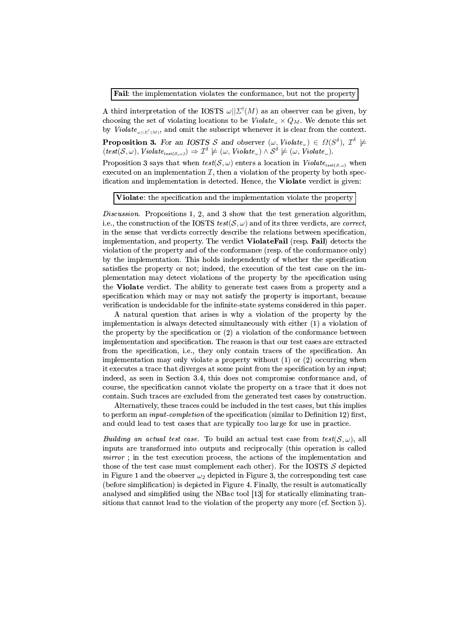Fail: the implementation violates the conformance, but not the property

A third interpretation of the IOSTS  $\omega||\Sigma^{\dagger}(M)$  as an observer can be given, by choosing the set of violating locations to be  $\mathit{Violate}_{\omega} \times Q_M$ . We denote this set by Violate<sub> $\omega | \Sigma^{\dagger}(\mathcal{M})|$ </sub>, and omit the subscript whenever it is clear from the context.

**Proposition 3.** For an IOSTS S and observer  $(\omega, Violate_{\omega}) \in \Omega(S^{\delta}), \mathcal{I}^{\delta} \not\models$  $(test(S, \omega), \textit{Violate}_{\textit{test}(S, \omega)}) \Rightarrow \mathcal{I}^{\delta} \not\models (\omega, \textit{Violate}_{\omega}) \wedge \mathcal{S}^{\delta} \not\models (\omega, \textit{Violate}_{\omega}).$ 

Proposition 3 says that when  $test(S, \omega)$  enters a location in  $Violate_{test(S, \omega)}$  when executed on an implementation  $\mathcal{I}$ , then a violation of the property by both specification and implementation is detected. Hence, the **Violate** verdict is given:

Violate: the specification and the implementation violate the property

Discussion. Propositions 1, 2, and 3 show that the test generation algorithm, i.e., the construction of the IOSTS  $test(S, \omega)$  and of its three verdicts, are *correct*, in the sense that verdicts correctly describe the relations between specification, implementation, and property. The verdict **ViolateFail** (resp. Fail) detects the violation of the property and of the conformance (resp. of the conformance only) by the implementation. This holds independently of whether the specification satisfies the property or not; indeed, the execution of the test case on the implementation may detect violations of the property by the specification using the Violate verdict. The ability to generate test cases from a property and a specification which may or may not satisfy the property is important, because verification is undecidable for the infinite-state systems considered in this paper.

A natural question that arises is why a violation of the property by the implementation is always detected simultaneously with either (1) a violation of the property by the specification or  $(2)$  a violation of the conformance between implementation and specification. The reason is that our test cases are extracted from the specification, i.e., they only contain traces of the specification. An implementation may only violate a property without  $(1)$  or  $(2)$  occurring when it executes a trace that diverges at some point from the specification by an *input*; indeed, as seen in Section 3.4, this does not compromise conformance and, of course, the specification cannot violate the property on a trace that it does not contain. Such traces are excluded from the generated test cases by construction.

Alternatively, these traces could be included in the test cases, but this implies to perform an *input-completion* of the specification (similar to Definition 12) first, and could lead to test cases that are typically too large for use in practice.

*Building an actual test case.* To build an actual test case from  $test(S, \omega)$ , all inputs are transformed into outputs and reciprocally (this operation is called mirror; in the test execution process, the actions of the implementation and those of the test case must complement each other). For the IOSTS  $S$  depicted in Figure 1 and the observer  $\omega_2$  depicted in Figure 3, the corresponding test case (before simplification) is depicted in Figure 4. Finally, the result is automatically analysed and simplified using the NBac tool [13] for statically eliminating transitions that cannot lead to the violation of the property any more (cf. Section 5).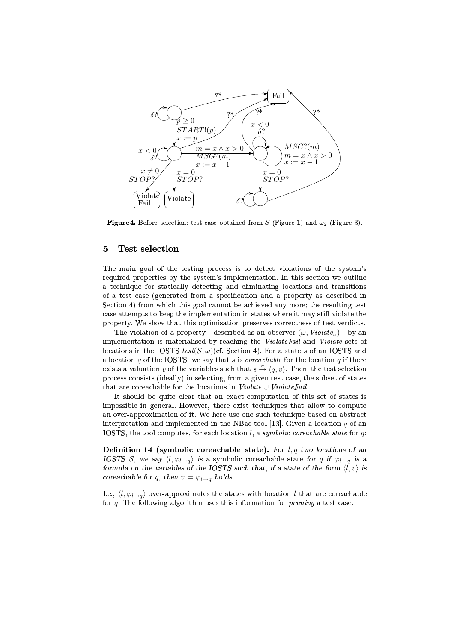

**Figure 4.** Before selection: test case obtained from S (Figure 1) and  $\omega_2$  (Figure 3).

#### $\overline{5}$ Test selection

The main goal of the testing process is to detect violations of the system's required properties by the system's implementation. In this section we outline a technique for statically detecting and eliminating locations and transitions of a test case (generated from a specification and a property as described in Section 4) from which this goal cannot be achieved any more; the resulting test case attempts to keep the implementation in states where it may still violate the property. We show that this optimisation preserves correctness of test verdicts.

The violation of a property - described as an observer  $(\omega, Violate_{\omega})$  - by an implementation is materialised by reaching the ViolateFail and Violate sets of locations in the IOSTS test(S,  $\omega$ )(cf. Section 4). For a state s of an IOSTS and a location  $q$  of the IOSTS, we say that  $s$  is *coreachable* for the location  $q$  if there exists a valuation v of the variables such that  $s \stackrel{\sigma}{\rightarrow} \langle q, v \rangle$ . Then, the test selection process consists (ideally) in selecting, from a given test case, the subset of states that are coreachable for the locations in  $Violate \cup ViolateFail$ .

It should be quite clear that an exact computation of this set of states is impossible in general. However, there exist techniques that allow to compute an over-approximation of it. We here use one such technique based on abstract interpretation and implemented in the NBac tool [13]. Given a location  $q$  of an IOSTS, the tool computes, for each location l, a symbolic corrachable state for q.

Definition 14 (symbolic coreachable state). For  $l, q$  two locations of an IOSTS S, we say  $\langle l, \varphi_{l \to q} \rangle$  is a symbolic coreachable state for q if  $\varphi_{l \to q}$  is a formula on the variables of the IOSTS such that, if a state of the form  $\langle l, v \rangle$  is coreachable for q, then  $v \models \varphi_{l \to q}$  holds.

I.e.,  $\langle l, \varphi_{l\rightarrow q}\rangle$  over-approximates the states with location l that are coreachable for  $q$ . The following algorithm uses this information for *pruning* a test case.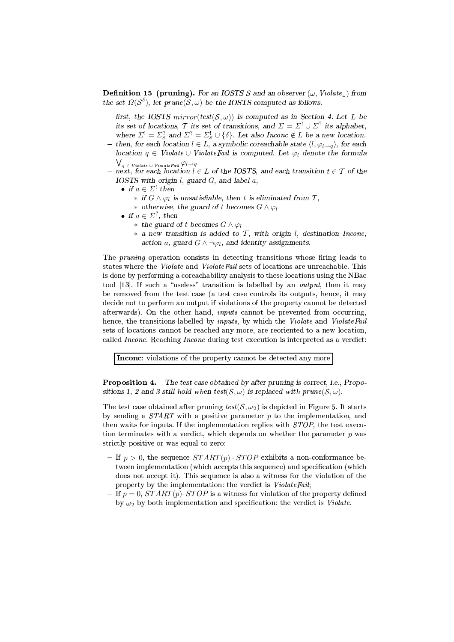**Definition 15 (pruning).** For an IOSTS S and an observer  $(\omega, Violate_{\omega})$  from the set  $\Omega(S^{\delta})$ , let prune(S,  $\omega$ ) be the IOSTS computed as follows.

- first, the IOSTS mirror(test( $S, \omega$ )) is computed as in Section 4. Let L be its set of locations, T its set of transitions, and  $\Sigma = \Sigma^! \cup \Sigma^?$  its alphabet, where  $\Sigma^! = \Sigma^?$  and  $\Sigma^? = \Sigma^!$   $\cup$  { $\delta$ }. Let also Inconc  $\notin L$  be a new location.
- then, for each location  $l \in L$ , a symbolic coreachable state  $\langle l, \varphi_{l \to q} \rangle$ , for each location  $q \in$  Violate  $\cup$  Violate Fail is computed. Let  $\varphi_l$  denote the formula  $\bigvee_{q \in \text{ Violate } \cup \text{ Violate } \text{Fail}} \varphi_{l \rightarrow q}$
- next, for each location  $l \in L$  of the IOSTS, and each transition  $t \in \mathcal{T}$  of the IOSTS with origin  $l$ , guard  $G$ , and label  $a$ ,
	- if  $a \in \Sigma^!$  then
		- \* if  $G \wedge \varphi_l$  is unsatisfiable, then t is eliminated from T,
		- \* otherwise, the guard of t becomes  $G \wedge \varphi_l$
	- if  $a \in \Sigma^?$ , then
		- \* the guard of t becomes  $G \wedge \varphi$
		- \* a new transition is added to  $\mathcal T$ , with origin l, destination Inconc, action a, guard  $G \wedge \neg \varphi_l$ , and identity assignments.

The *pruning* operation consists in detecting transitions whose firing leads to states where the *Violate* and *ViolateFail* sets of locations are unreachable. This is done by performing a coreachability analysis to these locations using the NBac tool [13]. If such a "useless" transition is labelled by an *output*, then it may be removed from the test case (a test case controls its outputs, hence, it may decide not to perform an output if violations of the property cannot be detected afterwards). On the other hand, *inputs* cannot be prevented from occurring, hence, the transitions labelled by *inputs*, by which the Violate and ViolateFail sets of locations cannot be reached any more, are reoriented to a new location, called *Inconc*. Reaching *Inconc* during test execution is interpreted as a verdict:

Inconc: violations of the property cannot be detected any more

Proposition 4. The test case obtained by after pruning is correct, i.e., Propositions 1, 2 and 3 still hold when test(S,  $\omega$ ) is replaced with prune(S,  $\omega$ ).

The test case obtained after pruning  $test(S, \omega_2)$  is depicted in Figure 5. It starts by sending a  $START$  with a positive parameter  $p$  to the implementation, and then waits for inputs. If the implementation replies with *STOP*, the test execution terminates with a verdict, which depends on whether the parameter  $p$  was strictly positive or was equal to zero:

- If  $p > 0$ , the sequence  $START(p) \cdot STOP$  exhibits a non-conformance between implementation (which accepts this sequence) and specification (which does not accept it). This sequence is also a witness for the violation of the property by the implementation: the verdict is *ViolateFail*;
- If  $p = 0$ ,  $START(p) \cdot STOP$  is a witness for violation of the property defined by  $\omega_2$  by both implementation and specification: the verdict is *Violate*.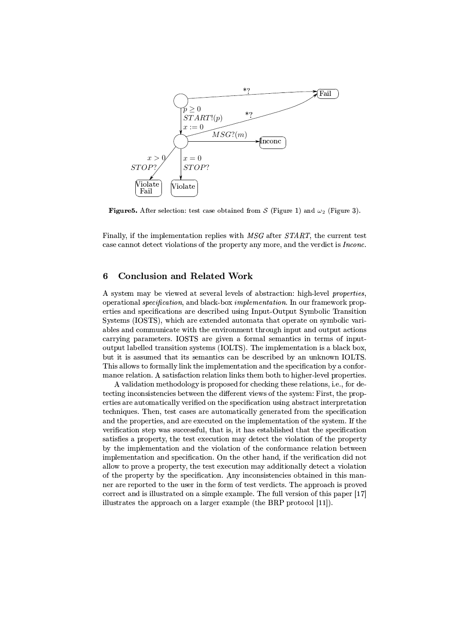

**Figure 5.** After selection: test case obtained from S (Figure 1) and  $\omega_2$  (Figure 3).

Finally, if the implementation replies with MSG after START, the current test case cannot detect violations of the property any more, and the verdict is *Inconc*.

#### **Conclusion and Related Work** 6

A system may be viewed at several levels of abstraction: high-level properties. operational *specification*, and black-box *implementation*. In our framework properties and specifications are described using Input-Output Symbolic Transition Systems (IOSTS), which are extended automata that operate on symbolic variables and communicate with the environment through input and output actions carrying parameters. IOSTS are given a formal semantics in terms of inputoutput labelled transition systems (IOLTS). The implementation is a black box, but it is assumed that its semantics can be described by an unknown IOLTS. This allows to formally link the implementation and the specification by a conformance relation. A satisfaction relation links them both to higher-level properties.

A validation methodology is proposed for checking these relations, i.e., for detecting inconsistencies between the different views of the system: First, the properties are automatically verified on the specification using abstract interpretation techniques. Then, test cases are automatically generated from the specification and the properties, and are executed on the implementation of the system. If the verification step was successful, that is, it has established that the specification satisfies a property, the test execution may detect the violation of the property by the implementation and the violation of the conformance relation between implementation and specification. On the other hand, if the verification did not allow to prove a property, the test execution may additionally detect a violation of the property by the specification. Any inconsistencies obtained in this manner are reported to the user in the form of test verdicts. The approach is proved correct and is illustrated on a simple example. The full version of this paper [17] illustrates the approach on a larger example (the BRP protocol [11]).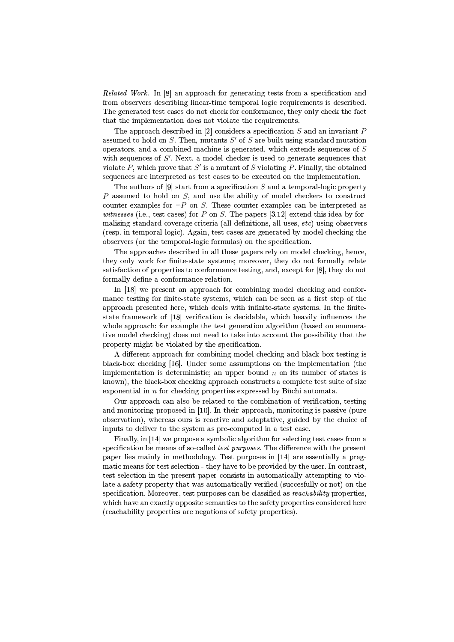*Related Work.* In [8] an approach for generating tests from a specification and from observers describing linear-time temporal logic requirements is described. The generated test cases do not check for conformance, they only check the fact that the implementation does not violate the requirements.

The approach described in [2] considers a specification  $S$  and an invariant  $P$ assumed to hold on S. Then, mutants  $S'$  of S are built using standard mutation operators, and a combined machine is generated, which extends sequences of  $S$ with sequences of  $S'$ . Next, a model checker is used to generate sequences that violate P, which prove that S' is a mutant of S violating P. Finally, the obtained sequences are interpreted as test cases to be executed on the implementation.

The authors of  $[9]$  start from a specification S and a temporal-logic property  $P$  assumed to hold on  $S$ , and use the ability of model checkers to construct counter-examples for  $\neg P$  on S. These counter-examples can be interpreted as *witnesses* (i.e., test cases) for P on S. The papers [3,12] extend this idea by formalising standard coverage criteria (all-definitions, all-uses,  $etc$ ) using observers (resp. in temporal logic). Again, test cases are generated by model checking the observers (or the temporal-logic formulas) on the specification.

The approaches described in all these papers rely on model checking, hence, they only work for finite-state systems; moreover, they do not formally relate satisfaction of properties to conformance testing, and, except for [8], they do not formally define a conformance relation.

In [18] we present an approach for combining model checking and conformance testing for finite-state systems, which can be seen as a first step of the approach presented here, which deals with infinite-state systems. In the finitestate framework of [18] verification is decidable, which heavily influences the whole approach: for example the test generation algorithm (based on enumerative model checking) does not need to take into account the possibility that the property might be violated by the specification.

A different approach for combining model checking and black-box testing is black-box checking [16]. Under some assumptions on the implementation (the implementation is deterministic: an upper bound  $n$  on its number of states is known), the black-box checking approach constructs a complete test suite of size exponential in  $n$  for checking properties expressed by Büchi automata.

Our approach can also be related to the combination of verification, testing and monitoring proposed in [10]. In their approach, monitoring is passive (pure observation), whereas ours is reactive and adaptative, guided by the choice of inputs to deliver to the system as pre-computed in a test case.

Finally, in [14] we propose a symbolic algorithm for selecting test cases from a specification be means of so-called *test purposes*. The difference with the present paper lies mainly in methodology. Test purposes in [14] are essentially a pragmatic means for test selection - they have to be provided by the user. In contrast, test selection in the present paper consists in automatically attempting to violate a safety property that was automatically verified (succesfully or not) on the specification. Moreover, test purposes can be classified as *reachability* properties, which have an exactly opposite semantics to the safety properties considered here (reachability properties are negations of safety properties).